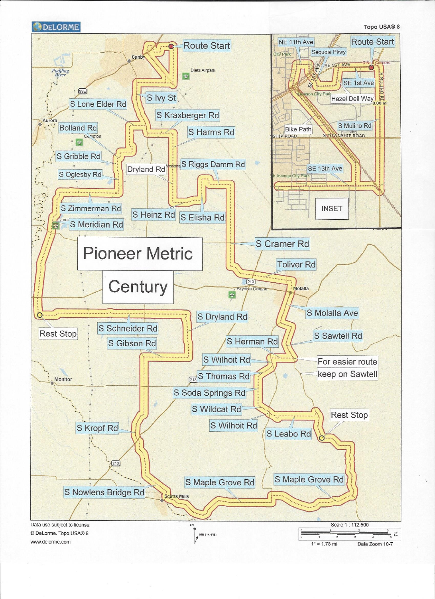